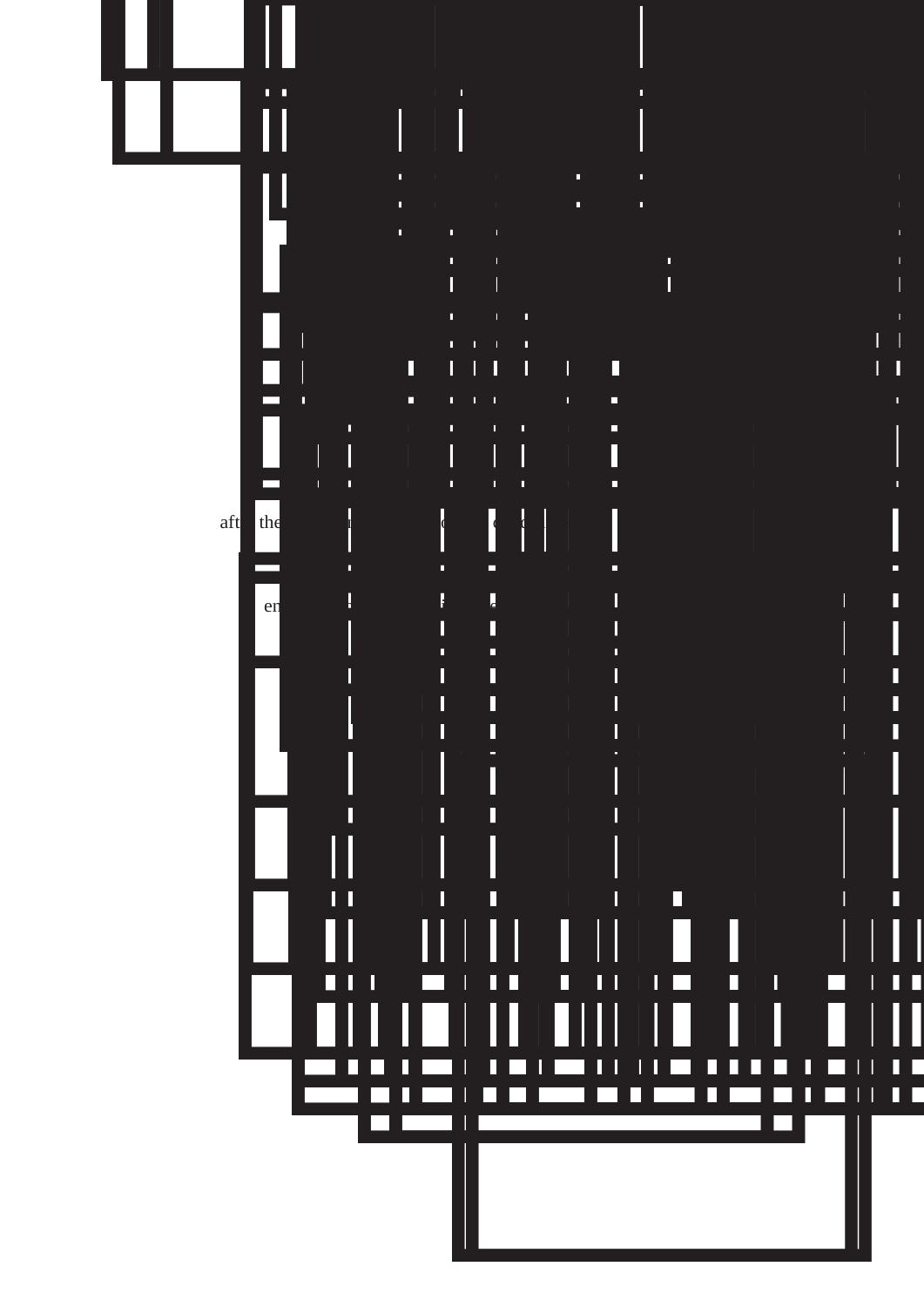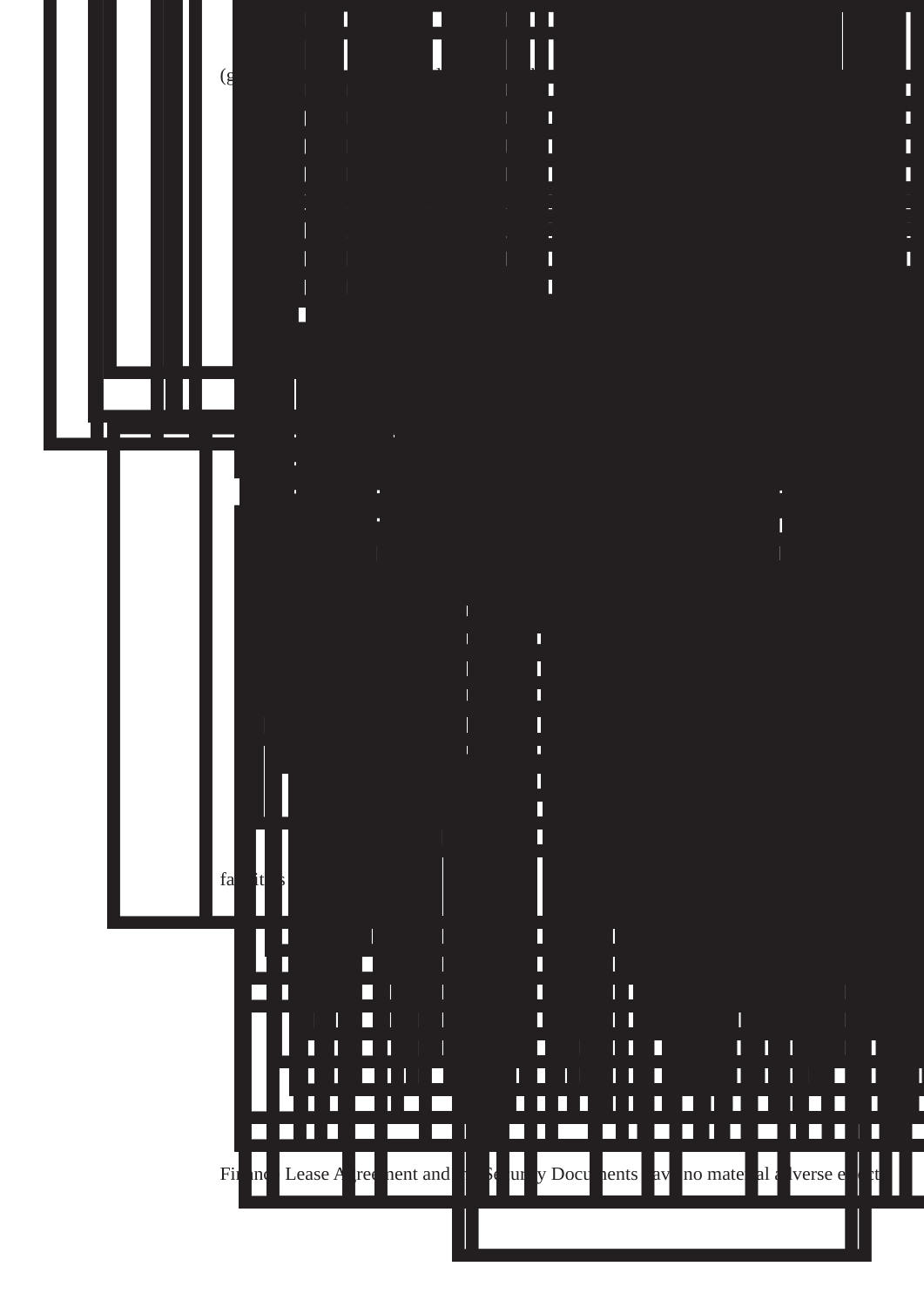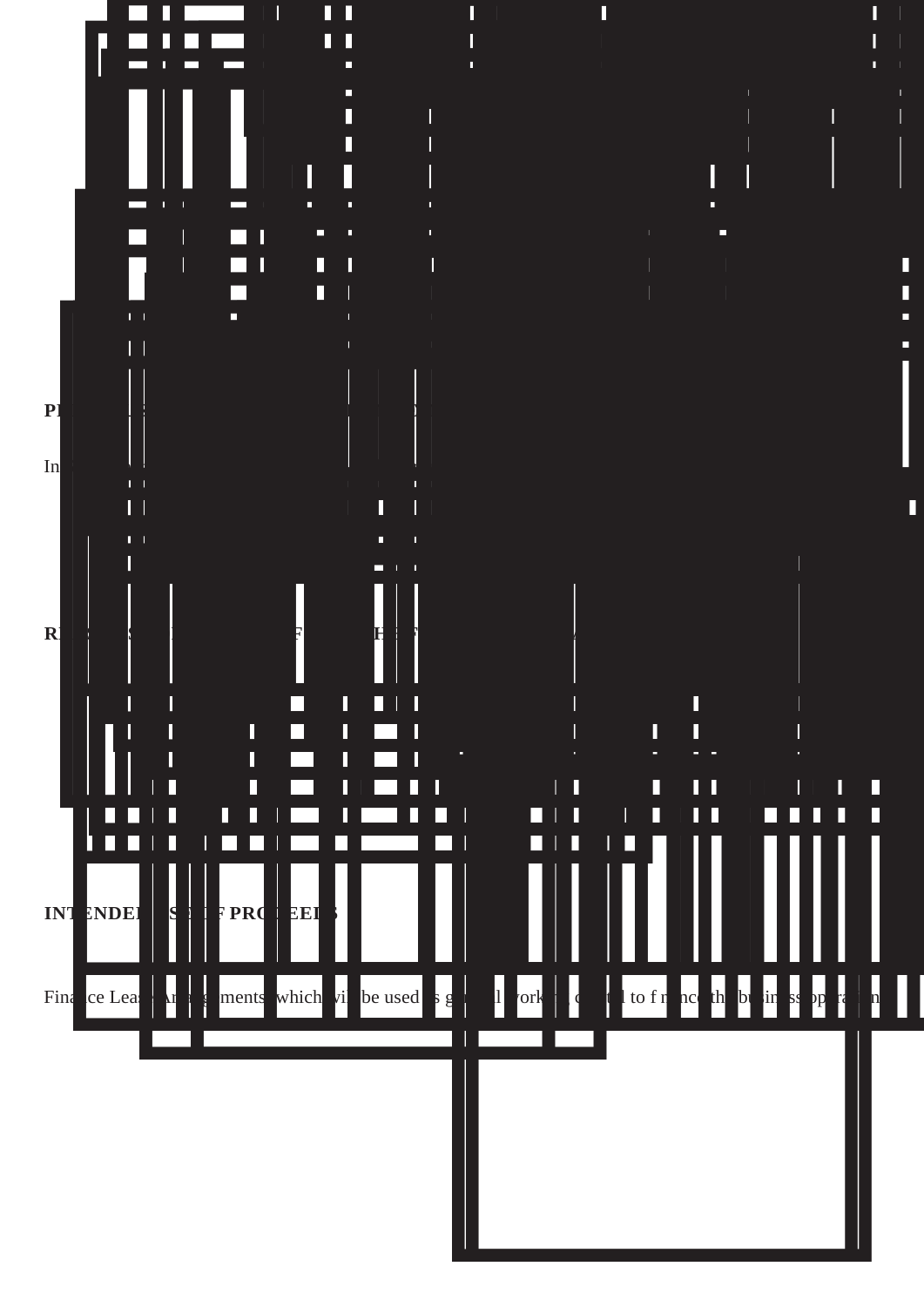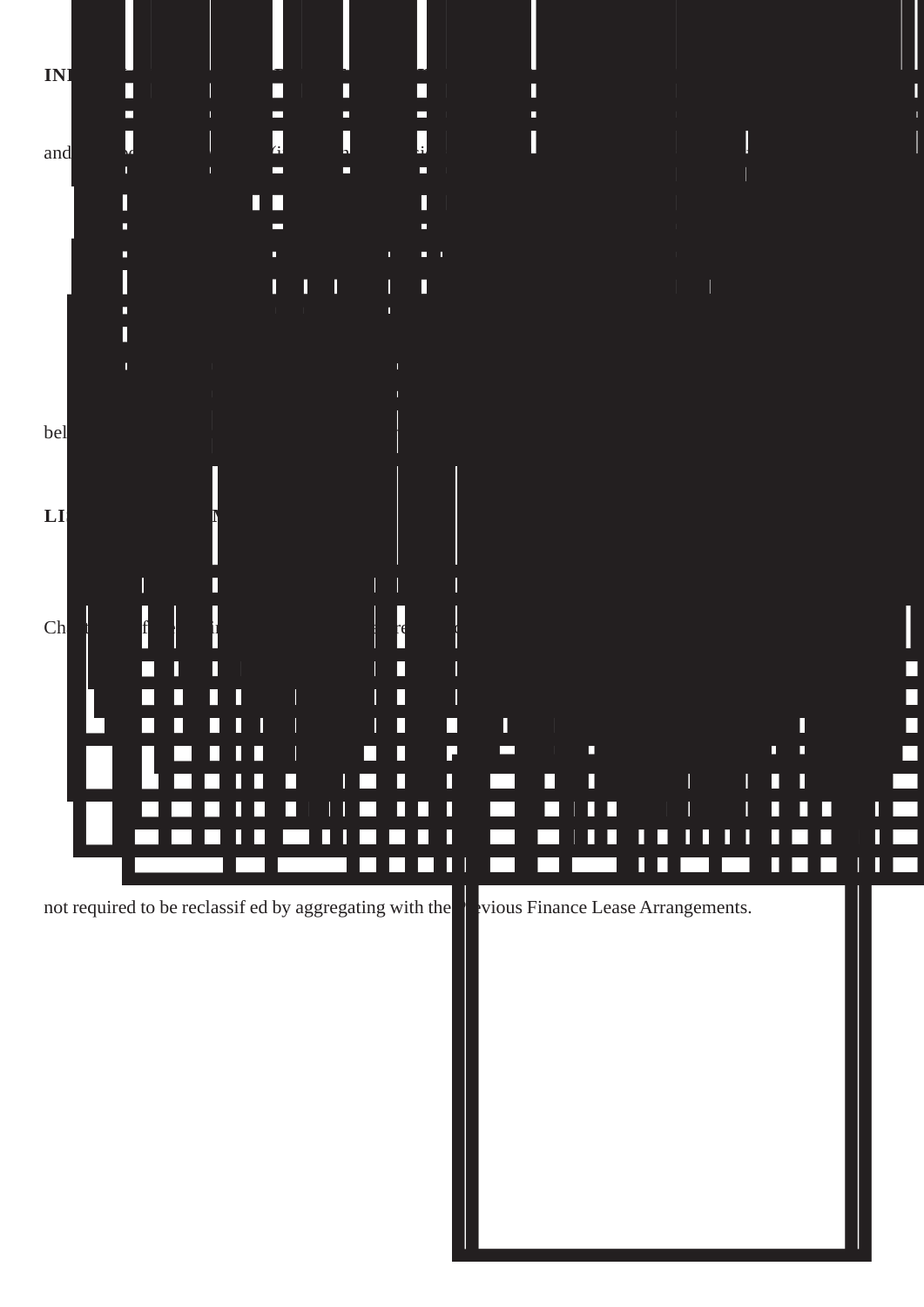

– 5 –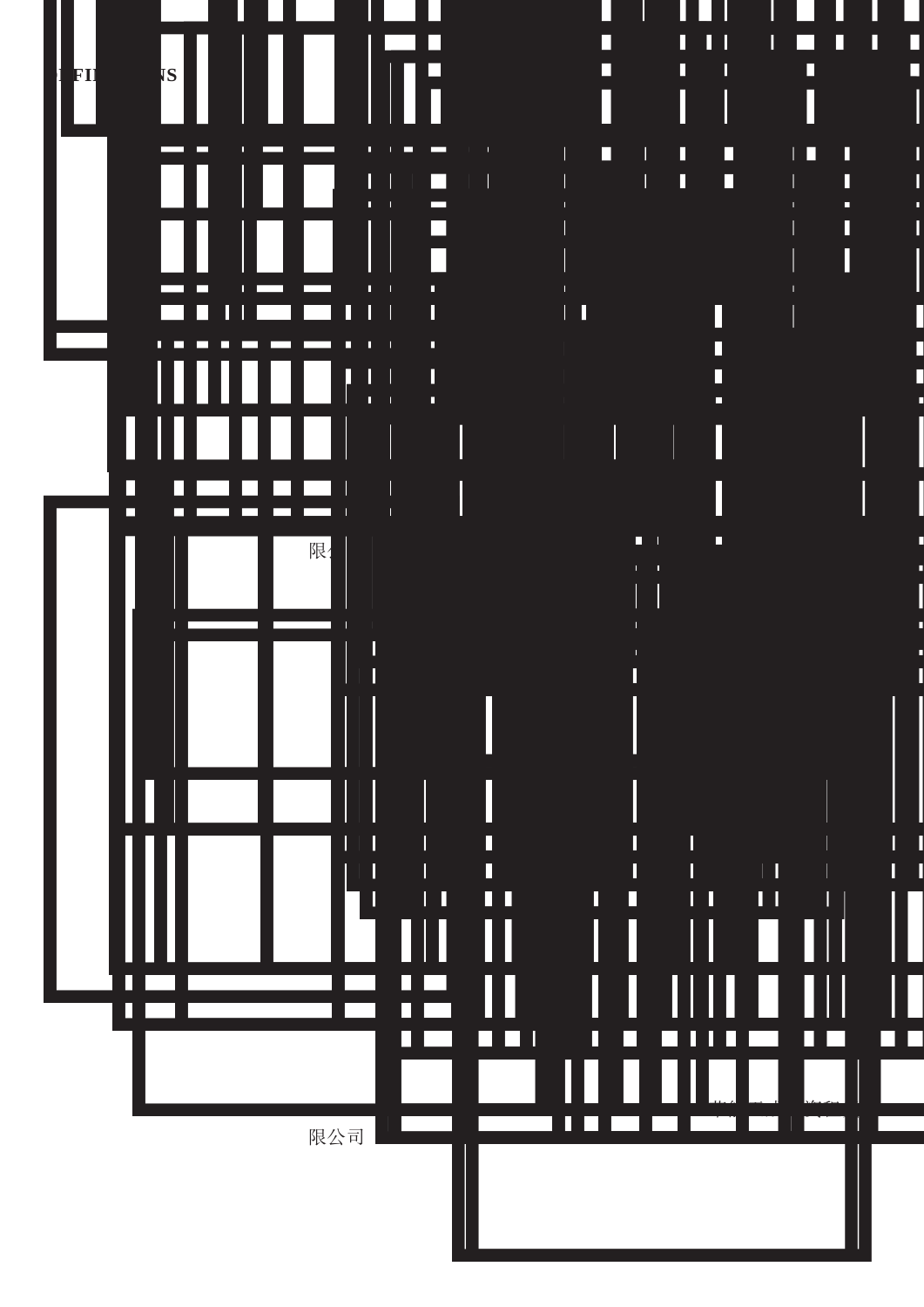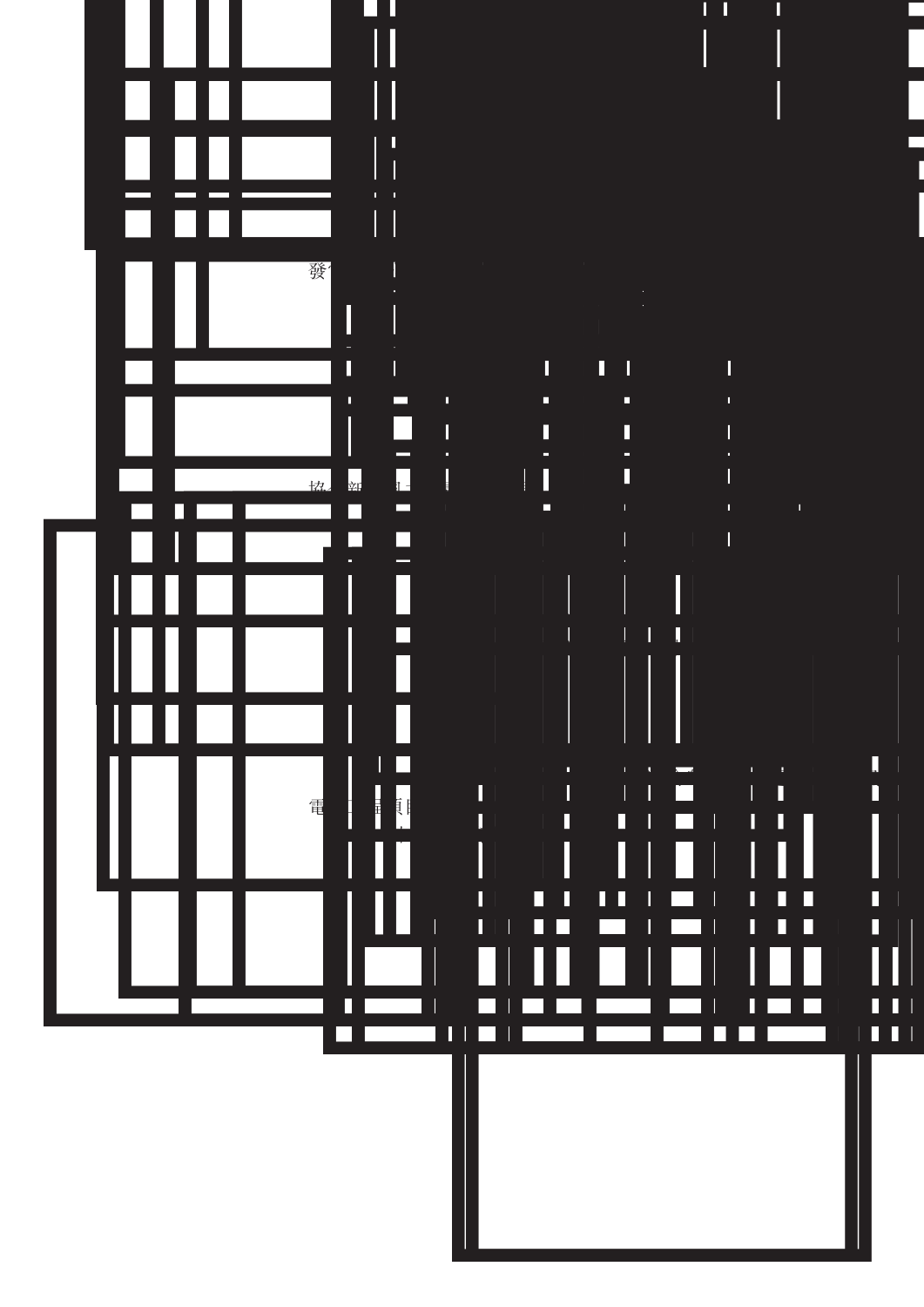